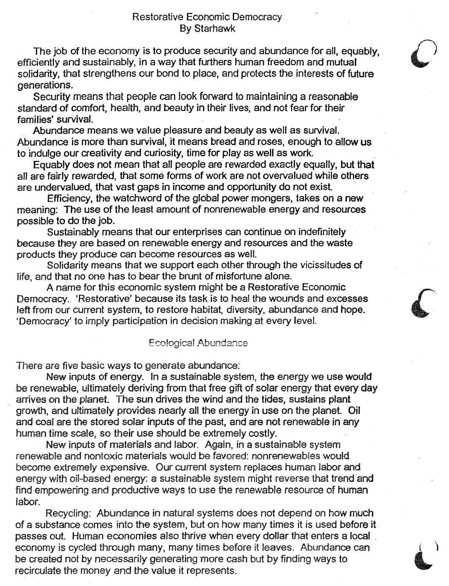The job of the economy is to produce security and abundance for all, equably, efficiently and sustainably, in a way that furthers human freedom and mutual solidarity, that strengthens our bond to place, and protects the interests of future generations.

Security means that people can look forward to maintaining a reasonable standard of comfort. health, and beauty in their lives, and not fear for their families' survival.

Abundance means we value pleasure and beauty as well as survival. Abundance is more than survival, it means bread and roses, enough to allow us to indulge our creativity and curiosity, time for playas well as work.

Equably does not mean that all people are rewarded exactly equally, but that all are fairly rewarded, that some forms of work are not overvalued while others are undervalued, that vast gaps in income and opportunity do not exist .

Efficiency, the watchword of the global power mongers, takes on a new meaning: The use of the least amount of nonrenewable energy and resources possible to do the job.

Sustainably means that our enterprises can continue on indefinitely because they are based on renewable energy and resources and the waste products they produce can become resources as well.

Solidarity means that we support each other through the vicissitudes of life, and that no one has to bear the brunt of misfortune alone.

A name for this economic system might be a Restorative Economic Democracy. 'Restorative' because its task is to heal the wounds and excesses left from our current system, to restore habitat, diversity, abundance and hope. 'Democracy' to imply participation in decision making at every level.

## Ecological Abundance

There are five basic ways to generate abundance:

New inputs of energy. In a sustainable system, the energy we use would be renewable, ultimately deriving from that free gift of solar energy that every day arrives on the planet. The sun drives the wind and the tides, sustains plant growth, and ultimately provides nearly all the energy in use on the planet. Oil and coal are the stored solar inputs of the past, and are not renewable in any human time scale, so their use should be extremely costly.

New inputs of materials and labor. Again, in a sustainable system renewable and nontoxic materials would be favored: nonrenewables would become extremely expensive. Our current system replaces human labor and energy with oil-based energy: a sustainable system might reverse that trend and find empowering and productive ways to use the renewable resource of human labor.

Recycling: Abundance in natural systems does not depend on how much of a substance comes into the system, but on how many times it is used before it passes out. Human economies also thrive when every dollar that enters a local . economy is cycled through many. many times before it leaves. Abundance can be created not by necessarily generating more cash but by finding ways to recirculate the money and the value it represents.

)